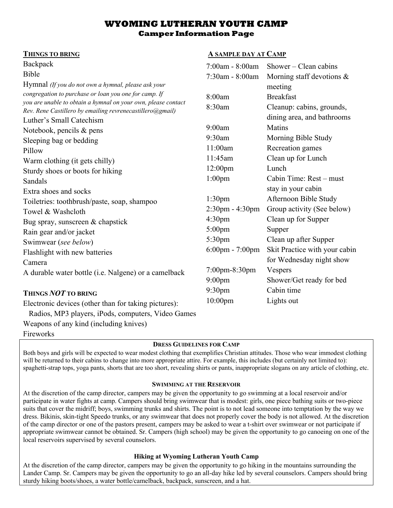# **WYOMING LUTHERAN YOUTH CAMP Camper Information Page**

#### **THINGS TO BRING A SAMPLE DAY AT CAMP**

| Backpack                                                                                                                   | 7:00am - 8:00am       | $Shower - Clean cabins$       |
|----------------------------------------------------------------------------------------------------------------------------|-----------------------|-------------------------------|
| Bible                                                                                                                      | 7:30am - 8:00am       | Morning staff devotions $\&$  |
| Hymnal (If you do not own a hymnal, please ask your                                                                        |                       | meeting                       |
| congregation to purchase or loan you one for camp. If                                                                      | 8:00am                | <b>Breakfast</b>              |
| you are unable to obtain a hymnal on your own, please contact<br>Rev. Rene Castillero by emailing revrenecastillero@gmail) | 8:30am                | Cleanup: cabins, grounds,     |
| Luther's Small Catechism                                                                                                   |                       | dining area, and bathrooms    |
| Notebook, pencils & pens                                                                                                   | 9:00am                | <b>Matins</b>                 |
| Sleeping bag or bedding                                                                                                    | 9:30am                | Morning Bible Study           |
| Pillow                                                                                                                     | 11:00am               | Recreation games              |
| Warm clothing (it gets chilly)                                                                                             | 11:45am               | Clean up for Lunch            |
| Sturdy shoes or boots for hiking                                                                                           | 12:00 <sub>pm</sub>   | Lunch                         |
| Sandals                                                                                                                    | $1:00$ pm             | Cabin Time: Rest – must       |
| Extra shoes and socks                                                                                                      |                       | stay in your cabin            |
| Toiletries: toothbrush/paste, soap, shampoo                                                                                | 1:30 <sub>pm</sub>    | Afternoon Bible Study         |
| Towel & Washcloth                                                                                                          | $2:30$ pm - $4:30$ pm | Group activity (See below)    |
| Bug spray, sunscreen & chapstick                                                                                           | 4:30 <sub>pm</sub>    | Clean up for Supper           |
| Rain gear and/or jacket                                                                                                    | $5:00$ pm             | Supper                        |
| Swimwear (see below)                                                                                                       | 5:30 <sub>pm</sub>    | Clean up after Supper         |
| Flashlight with new batteries                                                                                              | 6:00pm - 7:00pm       | Skit Practice with your cabin |
| Camera                                                                                                                     |                       | for Wednesday night show      |
| A durable water bottle (i.e. Nalgene) or a camelback                                                                       | $7:00$ pm $-8:30$ pm  | Vespers                       |
|                                                                                                                            | $9:00$ pm             | Shower/Get ready for bed      |
| THINGS NOT TO BRING                                                                                                        | 9:30 <sub>pm</sub>    | Cabin time                    |
| Electronic devices (other than for taking pictures):                                                                       | $10:00$ pm            | Lights out                    |

Radios, MP3 players, iPods, computers, Video Games

Weapons of any kind (including knives)

Fireworks

# **DRESS GUIDELINES FOR CAMP**

Both boys and girls will be expected to wear modest clothing that exemplifies Christian attitudes. Those who wear immodest clothing will be returned to their cabins to change into more appropriate attire. For example, this includes (but certainly not limited to): spaghetti-strap tops, yoga pants, shorts that are too short, revealing shirts or pants, inappropriate slogans on any article of clothing, etc.

### **SWIMMING AT THE RESERVOIR**

At the discretion of the camp director, campers may be given the opportunity to go swimming at a local reservoir and/or participate in water fights at camp. Campers should bring swimwear that is modest: girls, one piece bathing suits or two-piece suits that cover the midriff; boys, swimming trunks and shirts. The point is to not lead someone into temptation by the way we dress. Bikinis, skin-tight Speedo trunks, or any swimwear that does not properly cover the body is not allowed. At the discretion of the camp director or one of the pastors present, campers may be asked to wear a t-shirt over swimwear or not participate if appropriate swimwear cannot be obtained. Sr. Campers (high school) may be given the opportunity to go canoeing on one of the local reservoirs supervised by several counselors.

# **Hiking at Wyoming Lutheran Youth Camp**

At the discretion of the camp director, campers may be given the opportunity to go hiking in the mountains surrounding the Lander Camp. Sr. Campers may be given the opportunity to go an all-day hike led by several counselors. Campers should bring sturdy hiking boots/shoes, a water bottle/camelback, backpack, sunscreen, and a hat.